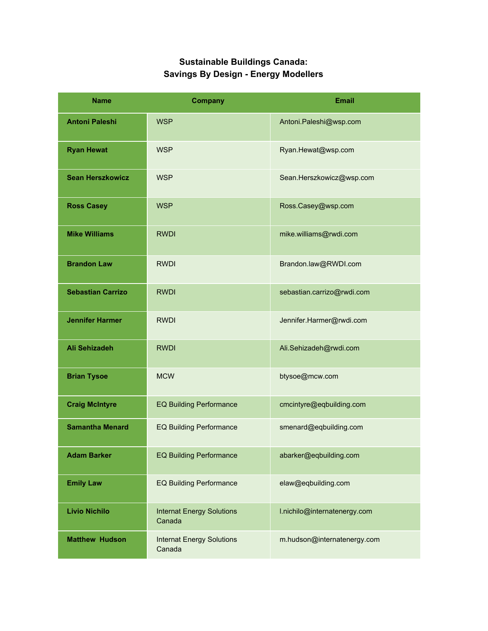## **Sustainable Buildings Canada: Savings By Design - Energy Modellers**

| <b>Name</b>              | <b>Company</b>                             | <b>Email</b>                 |
|--------------------------|--------------------------------------------|------------------------------|
| <b>Antoni Paleshi</b>    | <b>WSP</b>                                 | Antoni.Paleshi@wsp.com       |
| <b>Ryan Hewat</b>        | <b>WSP</b>                                 | Ryan.Hewat@wsp.com           |
| <b>Sean Herszkowicz</b>  | <b>WSP</b>                                 | Sean.Herszkowicz@wsp.com     |
| <b>Ross Casey</b>        | <b>WSP</b>                                 | Ross.Casey@wsp.com           |
| <b>Mike Williams</b>     | <b>RWDI</b>                                | mike.williams@rwdi.com       |
| <b>Brandon Law</b>       | <b>RWDI</b>                                | Brandon.law@RWDI.com         |
| <b>Sebastian Carrizo</b> | <b>RWDI</b>                                | sebastian.carrizo@rwdi.com   |
| <b>Jennifer Harmer</b>   | <b>RWDI</b>                                | Jennifer.Harmer@rwdi.com     |
| <b>Ali Sehizadeh</b>     | <b>RWDI</b>                                | Ali.Sehizadeh@rwdi.com       |
| <b>Brian Tysoe</b>       | <b>MCW</b>                                 | btysoe@mcw.com               |
| <b>Craig McIntyre</b>    | <b>EQ Building Performance</b>             | cmcintyre@eqbuilding.com     |
| <b>Samantha Menard</b>   | <b>EQ Building Performance</b>             | smenard@eqbuilding.com       |
| <b>Adam Barker</b>       | <b>EQ Building Performance</b>             | abarker@eqbuilding.com       |
| <b>Emily Law</b>         | <b>EQ Building Performance</b>             | elaw@eqbuilding.com          |
| <b>Livio Nichilo</b>     | <b>Internat Energy Solutions</b><br>Canada | I.nichilo@internatenergy.com |
| <b>Matthew Hudson</b>    | <b>Internat Energy Solutions</b><br>Canada | m.hudson@internatenergy.com  |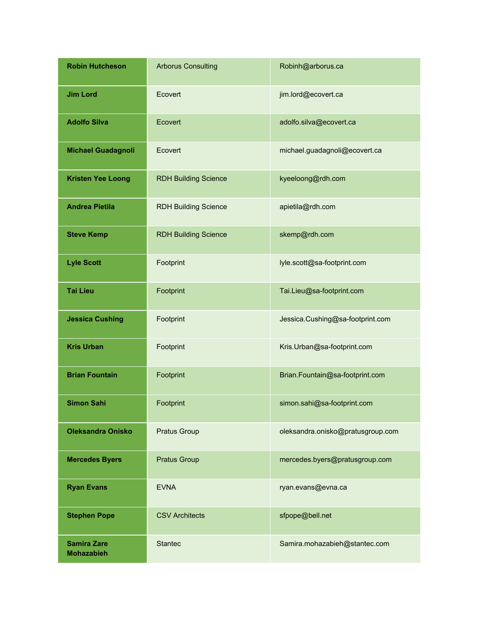| <b>Robin Hutcheson</b>                  | <b>Arborus Consulting</b>   | Robinh@arborus.ca                 |
|-----------------------------------------|-----------------------------|-----------------------------------|
| <b>Jim Lord</b>                         | Ecovert                     | jim.lord@ecovert.ca               |
| <b>Adolfo Silva</b>                     | Ecovert                     | adolfo.silva@ecovert.ca           |
| <b>Michael Guadagnoli</b>               | Ecovert                     | michael.guadagnoli@ecovert.ca     |
| <b>Kristen Yee Loong</b>                | <b>RDH Building Science</b> | kyeeloong@rdh.com                 |
| <b>Andrea Pietila</b>                   | <b>RDH Building Science</b> | apietila@rdh.com                  |
| <b>Steve Kemp</b>                       | <b>RDH Building Science</b> | skemp@rdh.com                     |
| <b>Lyle Scott</b>                       | Footprint                   | lyle.scott@sa-footprint.com       |
| <b>Tai Lieu</b>                         | Footprint                   | Tai.Lieu@sa-footprint.com         |
| <b>Jessica Cushing</b>                  | Footprint                   | Jessica.Cushing@sa-footprint.com  |
| <b>Kris Urban</b>                       | Footprint                   | Kris.Urban@sa-footprint.com       |
| <b>Brian Fountain</b>                   | Footprint                   | Brian.Fountain@sa-footprint.com   |
| <b>Simon Sahi</b>                       | Footprint                   | simon.sahi@sa-footprint.com       |
| <b>Oleksandra Onisko</b>                | <b>Pratus Group</b>         | oleksandra.onisko@pratusgroup.com |
| <b>Mercedes Byers</b>                   | <b>Pratus Group</b>         | mercedes.byers@pratusgroup.com    |
| <b>Ryan Evans</b>                       | <b>EVNA</b>                 | ryan.evans@evna.ca                |
| <b>Stephen Pope</b>                     | <b>CSV Architects</b>       | sfpope@bell.net                   |
| <b>Samira Zare</b><br><b>Mohazabieh</b> | <b>Stantec</b>              | Samira.mohazabieh@stantec.com     |